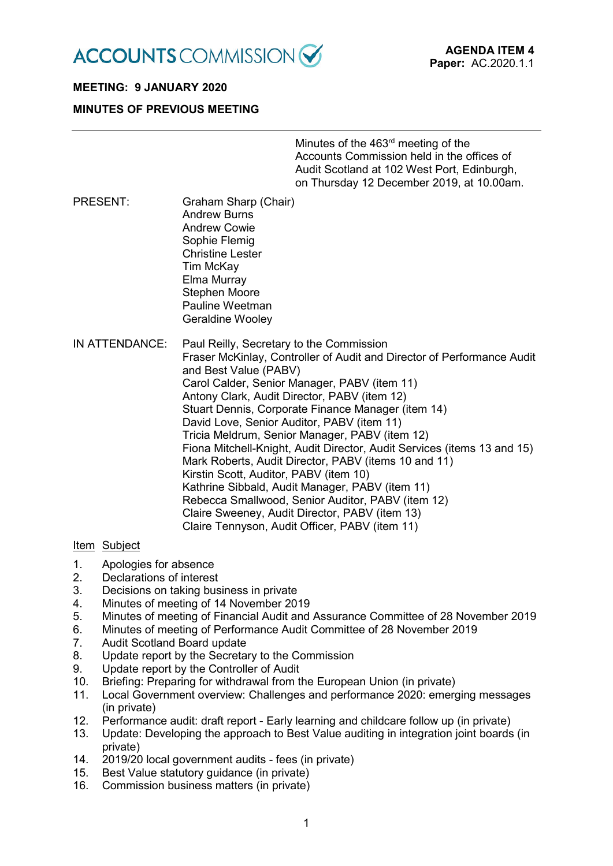

# **MEETING: 9 JANUARY 2020**

# **MINUTES OF PREVIOUS MEETING**

Minutes of the 463<sup>rd</sup> meeting of the Accounts Commission held in the offices of Audit Scotland at 102 West Port, Edinburgh, on Thursday 12 December 2019, at 10.00am.

- PRESENT: Graham Sharp (Chair) Andrew Burns Andrew Cowie Sophie Flemig Christine Lester Tim McKay Elma Murray Stephen Moore Pauline Weetman Geraldine Wooley
- IN ATTENDANCE: Paul Reilly, Secretary to the Commission Fraser McKinlay, Controller of Audit and Director of Performance Audit and Best Value (PABV) Carol Calder, Senior Manager, PABV (item 11) Antony Clark, Audit Director, PABV (item 12) Stuart Dennis, Corporate Finance Manager (item 14) David Love, Senior Auditor, PABV (item 11) Tricia Meldrum, Senior Manager, PABV (item 12) Fiona Mitchell-Knight, Audit Director, Audit Services (items 13 and 15) Mark Roberts, Audit Director, PABV (items 10 and 11) Kirstin Scott, Auditor, PABV (item 10) Kathrine Sibbald, Audit Manager, PABV (item 11) Rebecca Smallwood, Senior Auditor, PABV (item 12) Claire Sweeney, Audit Director, PABV (item 13) Claire Tennyson, Audit Officer, PABV (item 11)

# Item Subject

- 1. Apologies for absence
- 2. Declarations of interest
- 3. Decisions on taking business in private
- 4. Minutes of meeting of 14 November 2019<br>5. Minutes of meeting of Financial Audit and
- 5. Minutes of meeting of Financial Audit and Assurance Committee of 28 November 2019
- 6. Minutes of meeting of Performance Audit Committee of 28 November 2019
- 7. Audit Scotland Board update
- 8. Update report by the Secretary to the Commission
- 9. Update report by the Controller of Audit
- 10. Briefing: Preparing for withdrawal from the European Union (in private)
- 11. Local Government overview: Challenges and performance 2020: emerging messages (in private)
- 12. Performance audit: draft report Early learning and childcare follow up (in private)
- 13. Update: Developing the approach to Best Value auditing in integration joint boards (in private)
- 14. 2019/20 local government audits fees (in private)
- 15. Best Value statutory guidance (in private)
- 16. Commission business matters (in private)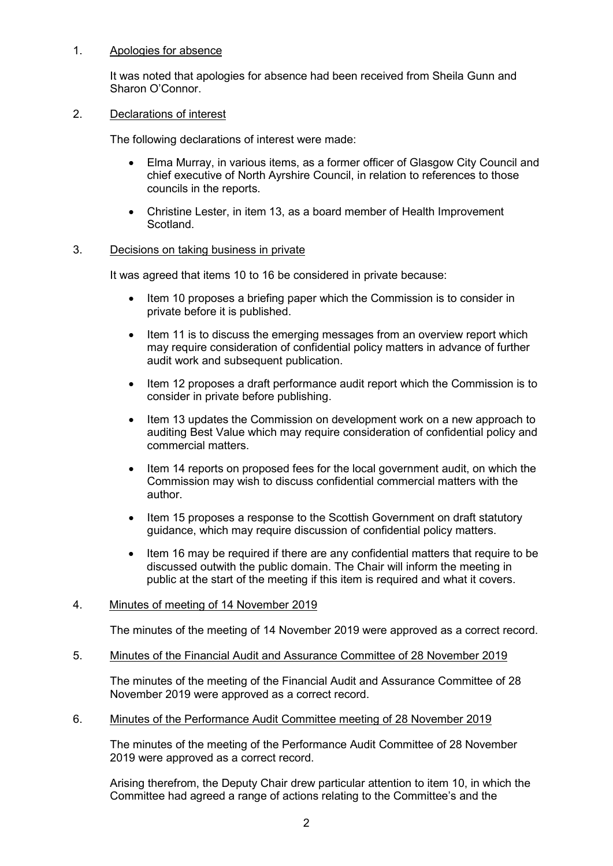# 1. Apologies for absence

It was noted that apologies for absence had been received from Sheila Gunn and Sharon O'Connor.

# 2. Declarations of interest

The following declarations of interest were made:

- Elma Murray, in various items, as a former officer of Glasgow City Council and chief executive of North Ayrshire Council, in relation to references to those councils in the reports.
- Christine Lester, in item 13, as a board member of Health Improvement Scotland.

# 3. Decisions on taking business in private

It was agreed that items 10 to 16 be considered in private because:

- Item 10 proposes a briefing paper which the Commission is to consider in private before it is published.
- Item 11 is to discuss the emerging messages from an overview report which may require consideration of confidential policy matters in advance of further audit work and subsequent publication.
- Item 12 proposes a draft performance audit report which the Commission is to consider in private before publishing.
- Item 13 updates the Commission on development work on a new approach to auditing Best Value which may require consideration of confidential policy and commercial matters.
- Item 14 reports on proposed fees for the local government audit, on which the Commission may wish to discuss confidential commercial matters with the author.
- Item 15 proposes a response to the Scottish Government on draft statutory guidance, which may require discussion of confidential policy matters.
- Item 16 may be required if there are any confidential matters that require to be discussed outwith the public domain. The Chair will inform the meeting in public at the start of the meeting if this item is required and what it covers.

# 4. Minutes of meeting of 14 November 2019

The minutes of the meeting of 14 November 2019 were approved as a correct record.

5. Minutes of the Financial Audit and Assurance Committee of 28 November 2019

The minutes of the meeting of the Financial Audit and Assurance Committee of 28 November 2019 were approved as a correct record.

6. Minutes of the Performance Audit Committee meeting of 28 November 2019

The minutes of the meeting of the Performance Audit Committee of 28 November 2019 were approved as a correct record.

Arising therefrom, the Deputy Chair drew particular attention to item 10, in which the Committee had agreed a range of actions relating to the Committee's and the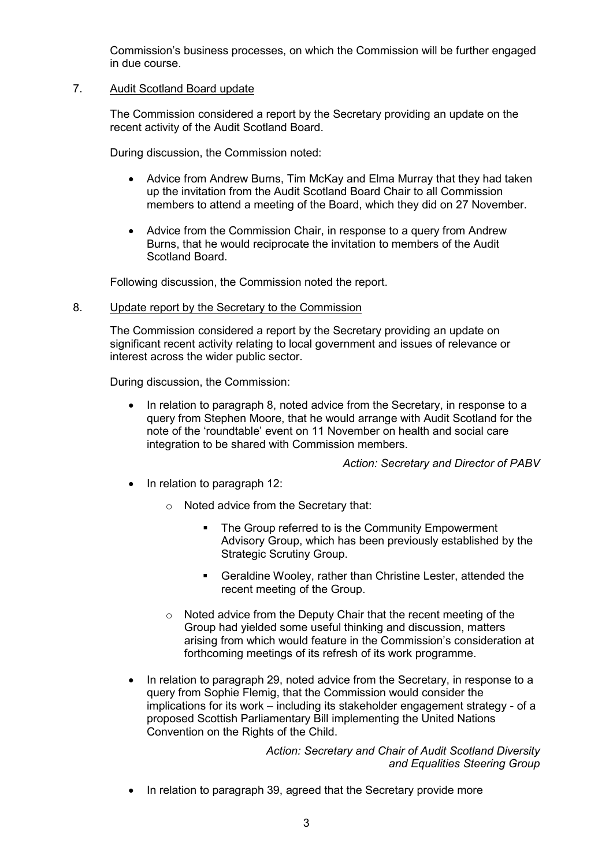Commission's business processes, on which the Commission will be further engaged in due course.

# 7. Audit Scotland Board update

The Commission considered a report by the Secretary providing an update on the recent activity of the Audit Scotland Board.

During discussion, the Commission noted:

- Advice from Andrew Burns, Tim McKay and Elma Murray that they had taken up the invitation from the Audit Scotland Board Chair to all Commission members to attend a meeting of the Board, which they did on 27 November.
- Advice from the Commission Chair, in response to a query from Andrew Burns, that he would reciprocate the invitation to members of the Audit Scotland Board.

Following discussion, the Commission noted the report.

#### 8. Update report by the Secretary to the Commission

The Commission considered a report by the Secretary providing an update on significant recent activity relating to local government and issues of relevance or interest across the wider public sector.

During discussion, the Commission:

• In relation to paragraph 8, noted advice from the Secretary, in response to a query from Stephen Moore, that he would arrange with Audit Scotland for the note of the 'roundtable' event on 11 November on health and social care integration to be shared with Commission members.

*Action: Secretary and Director of PABV*

- In relation to paragraph 12:
	- o Noted advice from the Secretary that:
		- The Group referred to is the Community Empowerment Advisory Group, which has been previously established by the Strategic Scrutiny Group.
		- Geraldine Wooley, rather than Christine Lester, attended the recent meeting of the Group.
	- o Noted advice from the Deputy Chair that the recent meeting of the Group had yielded some useful thinking and discussion, matters arising from which would feature in the Commission's consideration at forthcoming meetings of its refresh of its work programme.
- In relation to paragraph 29, noted advice from the Secretary, in response to a query from Sophie Flemig, that the Commission would consider the implications for its work – including its stakeholder engagement strategy - of a proposed Scottish Parliamentary Bill implementing the United Nations Convention on the Rights of the Child.

*Action: Secretary and Chair of Audit Scotland Diversity and Equalities Steering Group*

• In relation to paragraph 39, agreed that the Secretary provide more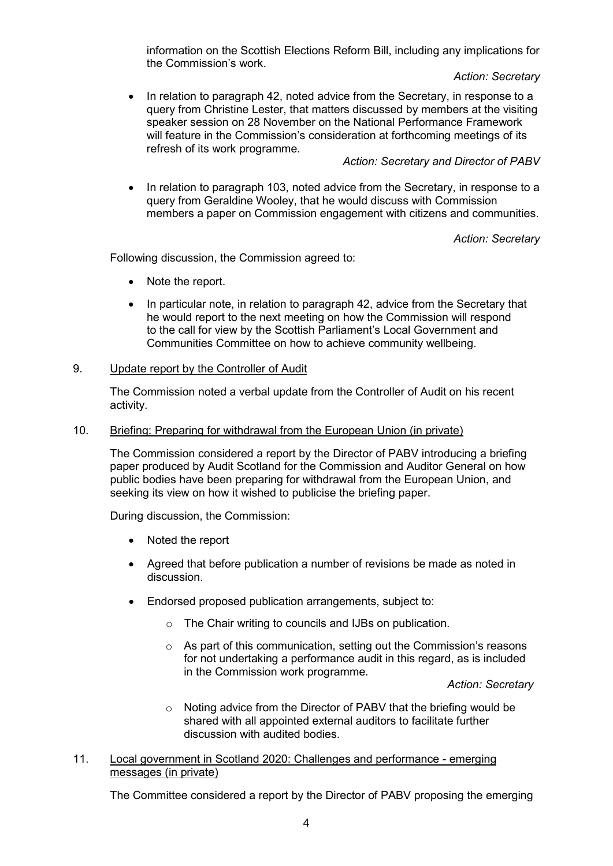information on the Scottish Elections Reform Bill, including any implications for the Commission's work.

# *Action: Secretary*

• In relation to paragraph 42, noted advice from the Secretary, in response to a query from Christine Lester, that matters discussed by members at the visiting speaker session on 28 November on the National Performance Framework will feature in the Commission's consideration at forthcoming meetings of its refresh of its work programme.

# *Action: Secretary and Director of PABV*

• In relation to paragraph 103, noted advice from the Secretary, in response to a query from Geraldine Wooley, that he would discuss with Commission members a paper on Commission engagement with citizens and communities.

*Action: Secretary*

Following discussion, the Commission agreed to:

- Note the report.
- In particular note, in relation to paragraph 42, advice from the Secretary that he would report to the next meeting on how the Commission will respond to the call for view by the Scottish Parliament's Local Government and Communities Committee on how to achieve community wellbeing.

# 9. Update report by the Controller of Audit

The Commission noted a verbal update from the Controller of Audit on his recent activity.

# 10. Briefing: Preparing for withdrawal from the European Union (in private)

The Commission considered a report by the Director of PABV introducing a briefing paper produced by Audit Scotland for the Commission and Auditor General on how public bodies have been preparing for withdrawal from the European Union, and seeking its view on how it wished to publicise the briefing paper.

During discussion, the Commission:

- Noted the report
- Agreed that before publication a number of revisions be made as noted in discussion.
- Endorsed proposed publication arrangements, subject to:
	- o The Chair writing to councils and IJBs on publication.
	- $\circ$  As part of this communication, setting out the Commission's reasons for not undertaking a performance audit in this regard, as is included in the Commission work programme.

*Action: Secretary*

o Noting advice from the Director of PABV that the briefing would be shared with all appointed external auditors to facilitate further discussion with audited bodies.

# 11. Local government in Scotland 2020: Challenges and performance - emerging messages (in private)

The Committee considered a report by the Director of PABV proposing the emerging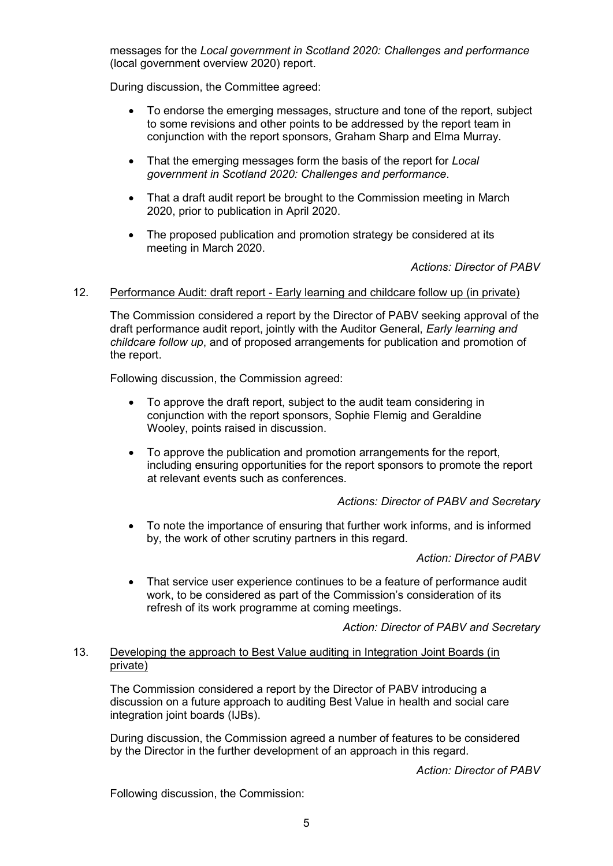messages for the *Local government in Scotland 2020: Challenges and performance* (local government overview 2020) report.

During discussion, the Committee agreed:

- To endorse the emerging messages, structure and tone of the report, subject to some revisions and other points to be addressed by the report team in conjunction with the report sponsors, Graham Sharp and Elma Murray.
- That the emerging messages form the basis of the report for *Local government in Scotland 2020: Challenges and performance*.
- That a draft audit report be brought to the Commission meeting in March 2020, prior to publication in April 2020.
- The proposed publication and promotion strategy be considered at its meeting in March 2020.

*Actions: Director of PABV*

#### 12. Performance Audit: draft report - Early learning and childcare follow up (in private)

The Commission considered a report by the Director of PABV seeking approval of the draft performance audit report, jointly with the Auditor General, *Early learning and childcare follow up*, and of proposed arrangements for publication and promotion of the report.

Following discussion, the Commission agreed:

- To approve the draft report, subject to the audit team considering in conjunction with the report sponsors, Sophie Flemig and Geraldine Wooley, points raised in discussion.
- To approve the publication and promotion arrangements for the report, including ensuring opportunities for the report sponsors to promote the report at relevant events such as conferences.

#### *Actions: Director of PABV and Secretary*

• To note the importance of ensuring that further work informs, and is informed by, the work of other scrutiny partners in this regard.

*Action: Director of PABV*

• That service user experience continues to be a feature of performance audit work, to be considered as part of the Commission's consideration of its refresh of its work programme at coming meetings.

*Action: Director of PABV and Secretary*

# 13. Developing the approach to Best Value auditing in Integration Joint Boards (in private)

The Commission considered a report by the Director of PABV introducing a discussion on a future approach to auditing Best Value in health and social care integration joint boards (IJBs).

During discussion, the Commission agreed a number of features to be considered by the Director in the further development of an approach in this regard.

*Action: Director of PABV*

Following discussion, the Commission: